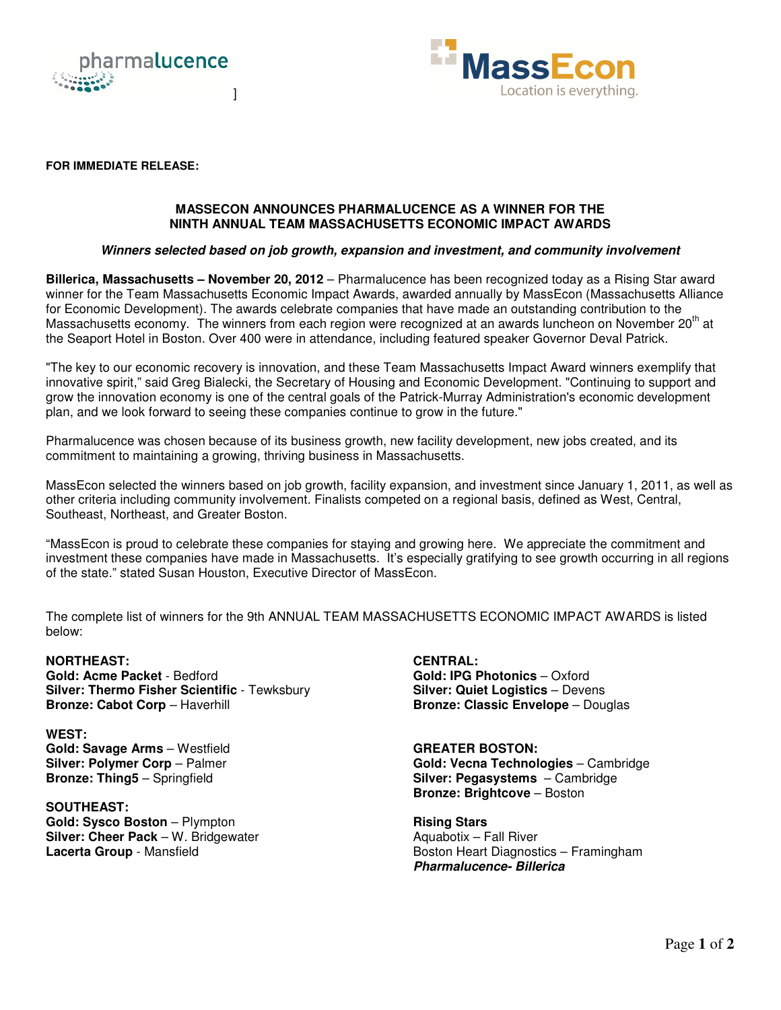



#### **FOR IMMEDIATE RELEASE:**

# **MASSECON ANNOUNCES PHARMALUCENCE AS A WINNER FOR THE NINTH ANNUAL TEAM MASSACHUSETTS ECONOMIC IMPACT AWARDS**

# *Winners selected based on job growth, expansion and investment, and community involvement*

**Billerica, Massachusetts – November 20, 2012** – Pharmalucence has been recognized today as a Rising Star award winner for the Team Massachusetts Economic Impact Awards, awarded annually by MassEcon (Massachusetts Alliance for Economic Development). The awards celebrate companies that have made an outstanding contribution to the Massachusetts economy. The winners from each region were recognized at an awards luncheon on November 20<sup>th</sup> at the Seaport Hotel in Boston. Over 400 were in attendance, including featured speaker Governor Deval Patrick.

"The key to our economic recovery is innovation, and these Team Massachusetts Impact Award winners exemplify that innovative spirit," said Greg Bialecki, the Secretary of Housing and Economic Development. "Continuing to support and grow the innovation economy is one of the central goals of the Patrick-Murray Administration's economic development plan, and we look forward to seeing these companies continue to grow in the future."

Pharmalucence was chosen because of its business growth, new facility development, new jobs created, and its commitment to maintaining a growing, thriving business in Massachusetts.

MassEcon selected the winners based on job growth, facility expansion, and investment since January 1, 2011, as well as other criteria including community involvement. Finalists competed on a regional basis, defined as West, Central, Southeast, Northeast, and Greater Boston.

"MassEcon is proud to celebrate these companies for staying and growing here. We appreciate the commitment and investment these companies have made in Massachusetts. It's especially gratifying to see growth occurring in all regions of the state." stated Susan Houston, Executive Director of MassEcon.

The complete list of winners for the 9th ANNUAL TEAM MASSACHUSETTS ECONOMIC IMPACT AWARDS is listed below:

# **NORTHEAST:**

**Gold: Acme Packet** - Bedford **Silver: Thermo Fisher Scientific** - Tewksbury **Bronze: Cabot Corp** – Haverhill

**WEST: Gold: Savage Arms** – Westfield **Silver: Polymer Corp** – Palmer **Bronze: Thing5** – Springfield

**SOUTHEAST: Gold: Sysco Boston** – Plympton **Silver: Cheer Pack** – W. Bridgewater **Lacerta Group** - Mansfield

**CENTRAL: Gold: IPG Photonics** – Oxford **Silver: Quiet Logistics** – Devens **Bronze: Classic Envelope** – Douglas

**GREATER BOSTON: Gold: Vecna Technologies** – Cambridge **Silver: Pegasystems** – Cambridge **Bronze: Brightcove** – Boston

**Rising Stars** Aquabotix – Fall River Boston Heart Diagnostics – Framingham *Pharmalucence- Billerica*